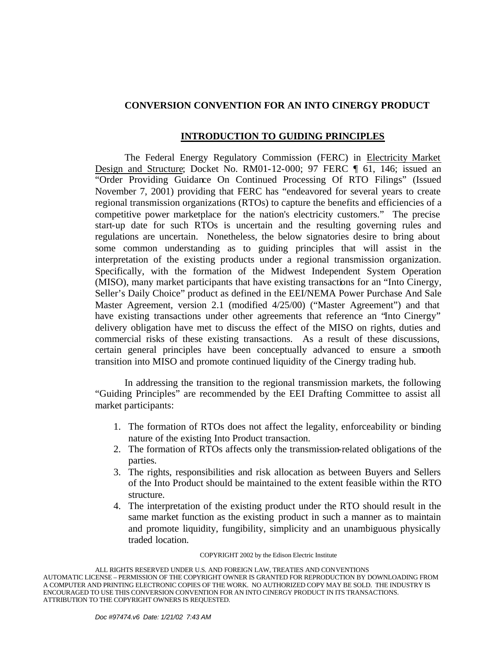# **CONVERSION CONVENTION FOR AN INTO CINERGY PRODUCT**

## **INTRODUCTION TO GUIDING PRINCIPLES**

The Federal Energy Regulatory Commission (FERC) in Electricity Market Design and Structure; Docket No. RM01-12-000; 97 FERC ¶ 61, 146; issued an "Order Providing Guidance On Continued Processing Of RTO Filings" (Issued November 7, 2001) providing that FERC has "endeavored for several years to create regional transmission organizations (RTOs) to capture the benefits and efficiencies of a competitive power marketplace for the nation's electricity customers." The precise start-up date for such RTOs is uncertain and the resulting governing rules and regulations are uncertain. Nonetheless, the below signatories desire to bring about some common understanding as to guiding principles that will assist in the interpretation of the existing products under a regional transmission organization. Specifically, with the formation of the Midwest Independent System Operation (MISO), many market participants that have existing transactions for an "Into Cinergy, Seller's Daily Choice" product as defined in the EEI/NEMA Power Purchase And Sale Master Agreement, version 2.1 (modified 4/25/00) ("Master Agreement") and that have existing transactions under other agreements that reference an 'Into Cinergy'' delivery obligation have met to discuss the effect of the MISO on rights, duties and commercial risks of these existing transactions. As a result of these discussions, certain general principles have been conceptually advanced to ensure a smooth transition into MISO and promote continued liquidity of the Cinergy trading hub.

In addressing the transition to the regional transmission markets, the following "Guiding Principles" are recommended by the EEI Drafting Committee to assist all market participants:

- 1. The formation of RTOs does not affect the legality, enforceability or binding nature of the existing Into Product transaction.
- 2. The formation of RTOs affects only the transmission-related obligations of the parties.
- 3. The rights, responsibilities and risk allocation as between Buyers and Sellers of the Into Product should be maintained to the extent feasible within the RTO structure.
- 4. The interpretation of the existing product under the RTO should result in the same market function as the existing product in such a manner as to maintain and promote liquidity, fungibility, simplicity and an unambiguous physically traded location.

#### COPYRIGHT 2002 by the Edison Electric Institute

ALL RIGHTS RESERVED UNDER U.S. AND FOREIGN LAW, TREATIES AND CONVENTIONS AUTOMATIC LICENSE – PERMISSION OF THE COPYRIGHT OWNER IS GRANTED FOR REPRODUCTION BY DOWNLOADING FROM A COMPUTER AND PRINTING ELECTRONIC COPIES OF THE WORK. NO AUTHORIZED COPY MAY BE SOLD. THE INDUSTRY IS ENCOURAGED TO USE THIS CONVERSION CONVENTION FOR AN INTO CINERGY PRODUCT IN ITS TRANSACTIONS. ATTRIBUTION TO THE COPYRIGHT OWNERS IS REQUESTED.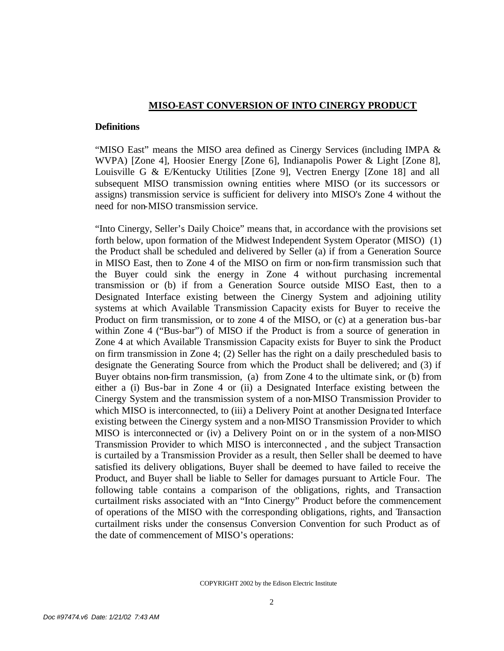## **MISO-EAST CONVERSION OF INTO CINERGY PRODUCT**

### **Definitions**

"MISO East" means the MISO area defined as Cinergy Services (including IMPA  $\&$ WVPA) [Zone 4], Hoosier Energy [Zone 6], Indianapolis Power & Light [Zone 8], Louisville G & E/Kentucky Utilities [Zone 9], Vectren Energy [Zone 18] and all subsequent MISO transmission owning entities where MISO (or its successors or assigns) transmission service is sufficient for delivery into MISO's Zone 4 without the need for non-MISO transmission service.

"Into Cinergy, Seller's Daily Choice" means that, in accordance with the provisions set forth below, upon formation of the Midwest Independent System Operator (MISO) (1) the Product shall be scheduled and delivered by Seller (a) if from a Generation Source in MISO East, then to Zone 4 of the MISO on firm or non-firm transmission such that the Buyer could sink the energy in Zone 4 without purchasing incremental transmission or (b) if from a Generation Source outside MISO East, then to a Designated Interface existing between the Cinergy System and adjoining utility systems at which Available Transmission Capacity exists for Buyer to receive the Product on firm transmission, or to zone 4 of the MISO, or (c) at a generation bus-bar within Zone 4 ("Bus-bar") of MISO if the Product is from a source of generation in Zone 4 at which Available Transmission Capacity exists for Buyer to sink the Product on firm transmission in Zone 4; (2) Seller has the right on a daily prescheduled basis to designate the Generating Source from which the Product shall be delivered; and (3) if Buyer obtains non-firm transmission, (a) from Zone 4 to the ultimate sink, or (b) from either a (i) Bus-bar in Zone 4 or (ii) a Designated Interface existing between the Cinergy System and the transmission system of a non-MISO Transmission Provider to which MISO is interconnected, to (iii) a Delivery Point at another Designa ted Interface existing between the Cinergy system and a non-MISO Transmission Provider to which MISO is interconnected or (iv) a Delivery Point on or in the system of a non-MISO Transmission Provider to which MISO is interconnected , and the subject Transaction is curtailed by a Transmission Provider as a result, then Seller shall be deemed to have satisfied its delivery obligations, Buyer shall be deemed to have failed to receive the Product, and Buyer shall be liable to Seller for damages pursuant to Article Four. The following table contains a comparison of the obligations, rights, and Transaction curtailment risks associated with an "Into Cinergy" Product before the commencement of operations of the MISO with the corresponding obligations, rights, and Transaction curtailment risks under the consensus Conversion Convention for such Product as of the date of commencement of MISO's operations: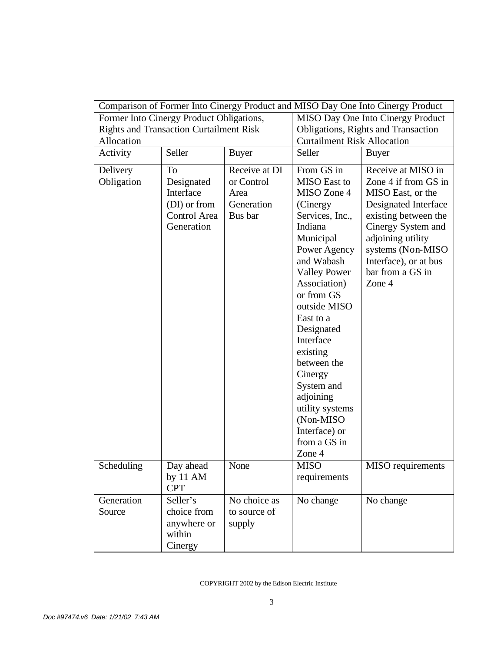| Comparison of Former Into Cinergy Product and MISO Day One Into Cinergy Product |                      |                             |                                              |                                            |
|---------------------------------------------------------------------------------|----------------------|-----------------------------|----------------------------------------------|--------------------------------------------|
| Former Into Cinergy Product Obligations,                                        |                      |                             | MISO Day One Into Cinergy Product            |                                            |
| <b>Rights and Transaction Curtailment Risk</b>                                  |                      |                             | Obligations, Rights and Transaction          |                                            |
| Activity                                                                        | Allocation<br>Seller |                             | <b>Curtailment Risk Allocation</b><br>Seller |                                            |
|                                                                                 |                      | <b>Buyer</b>                |                                              | Buyer                                      |
| Delivery<br>Obligation                                                          | To<br>Designated     | Receive at DI<br>or Control | From GS in<br><b>MISO</b> East to            | Receive at MISO in<br>Zone 4 if from GS in |
|                                                                                 | Interface            | Area                        | MISO Zone 4                                  | MISO East, or the                          |
|                                                                                 | (DI) or from         | Generation                  | (Cinergy)                                    | Designated Interface                       |
|                                                                                 | Control Area         | Bus bar                     | Services, Inc.,                              | existing between the                       |
|                                                                                 | Generation           |                             | Indiana<br>Municipal                         | Cinergy System and<br>adjoining utility    |
|                                                                                 |                      |                             | Power Agency                                 | systems (Non-MISO                          |
|                                                                                 |                      |                             | and Wabash                                   | Interface), or at bus                      |
|                                                                                 |                      |                             | <b>Valley Power</b>                          | bar from a GS in                           |
|                                                                                 |                      |                             | Association)                                 | Zone 4                                     |
|                                                                                 |                      |                             | or from GS                                   |                                            |
|                                                                                 |                      |                             | outside MISO                                 |                                            |
|                                                                                 |                      |                             | East to a                                    |                                            |
|                                                                                 |                      |                             | Designated<br>Interface                      |                                            |
|                                                                                 |                      |                             | existing                                     |                                            |
|                                                                                 |                      |                             | between the                                  |                                            |
|                                                                                 |                      |                             | Cinergy                                      |                                            |
|                                                                                 |                      |                             | System and                                   |                                            |
|                                                                                 |                      |                             | adjoining                                    |                                            |
|                                                                                 |                      |                             | utility systems                              |                                            |
|                                                                                 |                      |                             | (Non-MISO)                                   |                                            |
|                                                                                 |                      |                             | Interface) or<br>from a GS in                |                                            |
|                                                                                 |                      |                             | Zone 4                                       |                                            |
| Scheduling                                                                      | Day ahead            | None                        | <b>MISO</b>                                  | MISO requirements                          |
|                                                                                 | by $11 \text{ AM}$   |                             | requirements                                 |                                            |
|                                                                                 | <b>CPT</b>           |                             |                                              |                                            |
| Generation                                                                      | Seller's             | No choice as                | No change                                    | No change                                  |
| Source                                                                          | choice from          | to source of                |                                              |                                            |
|                                                                                 | anywhere or          | supply                      |                                              |                                            |
|                                                                                 | within               |                             |                                              |                                            |
|                                                                                 | Cinergy              |                             |                                              |                                            |

#### COPYRIGHT 2002 by the Edison Electric Institute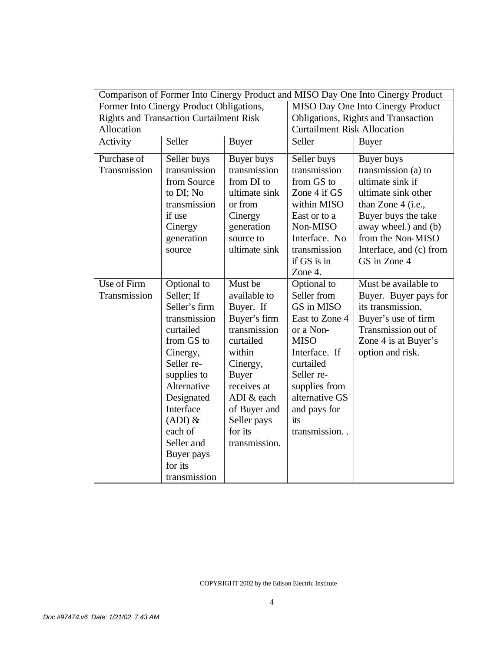| Comparison of Former Into Cinergy Product and MISO Day One Into Cinergy Product |               |               |                                     |                                    |  |
|---------------------------------------------------------------------------------|---------------|---------------|-------------------------------------|------------------------------------|--|
| Former Into Cinergy Product Obligations,                                        |               |               | MISO Day One Into Cinergy Product   |                                    |  |
| <b>Rights and Transaction Curtailment Risk</b>                                  |               |               | Obligations, Rights and Transaction |                                    |  |
| Allocation                                                                      |               |               |                                     | <b>Curtailment Risk Allocation</b> |  |
| Activity                                                                        | Seller        | <b>Buyer</b>  | Seller<br><b>Buyer</b>              |                                    |  |
| Purchase of                                                                     | Seller buys   | Buyer buys    | Seller buys                         | Buyer buys                         |  |
| Transmission                                                                    | transmission  | transmission  | transmission                        | transmission (a) to                |  |
|                                                                                 | from Source   | from DI to    | from GS to                          | ultimate sink if                   |  |
|                                                                                 | to DI; No     | ultimate sink | Zone 4 if GS                        | ultimate sink other                |  |
|                                                                                 | transmission  | or from       | within MISO                         | than Zone $4$ (i.e.,               |  |
|                                                                                 | if use        | Cinergy       | East or to a                        | Buyer buys the take                |  |
|                                                                                 | Cinergy       | generation    | Non-MISO                            | away wheel.) and (b)               |  |
|                                                                                 | generation    | source to     | Interface. No                       | from the Non-MISO                  |  |
|                                                                                 | source        | ultimate sink | transmission                        | Interface, and (c) from            |  |
|                                                                                 |               |               | if GS is in                         | GS in Zone 4                       |  |
|                                                                                 |               |               | Zone 4.                             |                                    |  |
| Use of Firm                                                                     | Optional to   | Must be       | Optional to                         | Must be available to               |  |
| Transmission                                                                    | Seller; If    | available to  | Seller from                         | Buyer. Buyer pays for              |  |
|                                                                                 | Seller's firm | Buyer. If     | GS in MISO                          | its transmission.                  |  |
|                                                                                 | transmission  | Buyer's firm  | East to Zone 4                      | Buyer's use of firm                |  |
|                                                                                 | curtailed     | transmission  | or a Non-                           | Transmission out of                |  |
|                                                                                 | from GS to    | curtailed     | <b>MISO</b>                         | Zone 4 is at Buyer's               |  |
|                                                                                 | Cinergy,      | within        | Interface. If                       | option and risk.                   |  |
|                                                                                 | Seller re-    | Cinergy,      | curtailed                           |                                    |  |
|                                                                                 | supplies to   | <b>Buyer</b>  | Seller re-                          |                                    |  |
|                                                                                 | Alternative   | receives at   | supplies from                       |                                    |  |
|                                                                                 | Designated    | ADI & each    | alternative GS                      |                                    |  |
|                                                                                 | Interface     | of Buyer and  | and pays for                        |                                    |  |
|                                                                                 | $(ADI)$ &     | Seller pays   | its                                 |                                    |  |
|                                                                                 | each of       | for its       | transmission                        |                                    |  |
|                                                                                 | Seller and    | transmission. |                                     |                                    |  |
|                                                                                 | Buyer pays    |               |                                     |                                    |  |
|                                                                                 | for its       |               |                                     |                                    |  |
|                                                                                 | transmission  |               |                                     |                                    |  |

COPYRIGHT 2002 by the Edison Electric Institute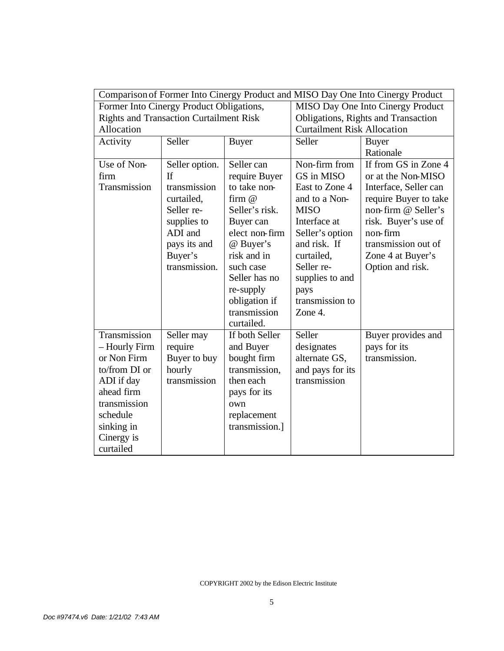| Comparison of Former Into Cinergy Product and MISO Day One Into Cinergy Product |                |                |                                   |                                     |  |
|---------------------------------------------------------------------------------|----------------|----------------|-----------------------------------|-------------------------------------|--|
| Former Into Cinergy Product Obligations,                                        |                |                | MISO Day One Into Cinergy Product |                                     |  |
| <b>Rights and Transaction Curtailment Risk</b>                                  |                |                |                                   | Obligations, Rights and Transaction |  |
| Allocation                                                                      |                |                |                                   | <b>Curtailment Risk Allocation</b>  |  |
| Activity                                                                        | Seller         | <b>Buyer</b>   | Seller                            | <b>Buyer</b>                        |  |
|                                                                                 |                |                |                                   | Rationale                           |  |
| Use of Non-                                                                     | Seller option. | Seller can     | Non-firm from                     | If from GS in Zone 4                |  |
| firm                                                                            | If             | require Buyer  | GS in MISO                        | or at the Non-MISO                  |  |
| Transmission                                                                    | transmission   | to take non-   | East to Zone 4                    | Interface, Seller can               |  |
|                                                                                 | curtailed,     | firm $@$       | and to a Non-                     | require Buyer to take               |  |
|                                                                                 | Seller re-     | Seller's risk. | <b>MISO</b>                       | non-firm @ Seller's                 |  |
|                                                                                 | supplies to    | Buyer can      | Interface at                      | risk. Buyer's use of                |  |
|                                                                                 | ADI and        | elect non-firm | Seller's option                   | non-firm                            |  |
|                                                                                 | pays its and   | @ Buyer's      | and risk. If                      | transmission out of                 |  |
|                                                                                 | Buyer's        | risk and in    | curtailed,                        | Zone 4 at Buyer's                   |  |
|                                                                                 | transmission.  | such case      | Seller re-                        | Option and risk.                    |  |
|                                                                                 |                | Seller has no  | supplies to and                   |                                     |  |
|                                                                                 |                | re-supply      | pays                              |                                     |  |
|                                                                                 |                | obligation if  | transmission to                   |                                     |  |
|                                                                                 |                | transmission   | Zone 4.                           |                                     |  |
|                                                                                 |                | curtailed.     |                                   |                                     |  |
| Transmission                                                                    | Seller may     | If both Seller | Seller                            | Buyer provides and                  |  |
| - Hourly Firm                                                                   | require        | and Buyer      | designates                        | pays for its                        |  |
| or Non Firm                                                                     | Buyer to buy   | bought firm    | alternate GS,                     | transmission.                       |  |
| to/from DI or                                                                   | hourly         | transmission,  | and pays for its                  |                                     |  |
| ADI if day                                                                      | transmission   | then each      | transmission                      |                                     |  |
| ahead firm                                                                      |                | pays for its   |                                   |                                     |  |
| transmission                                                                    |                | own            |                                   |                                     |  |
| schedule                                                                        |                | replacement    |                                   |                                     |  |
| sinking in                                                                      |                | transmission.] |                                   |                                     |  |
| Cinergy is                                                                      |                |                |                                   |                                     |  |
| curtailed                                                                       |                |                |                                   |                                     |  |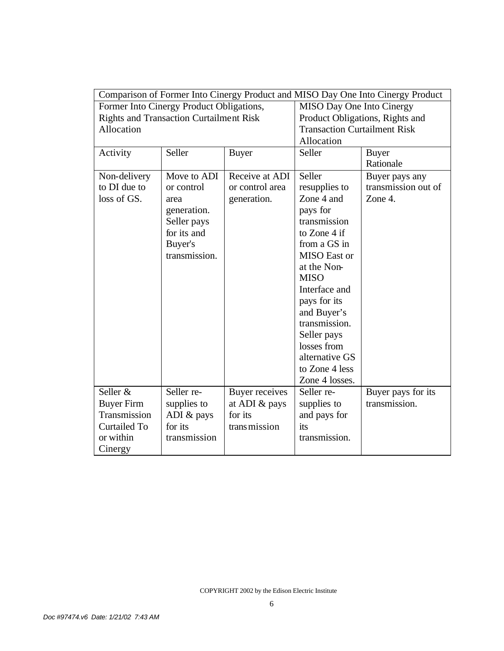| Comparison of Former Into Cinergy Product and MISO Day One Into Cinergy Product |               |                       |                                     |                     |
|---------------------------------------------------------------------------------|---------------|-----------------------|-------------------------------------|---------------------|
| Former Into Cinergy Product Obligations,                                        |               |                       | MISO Day One Into Cinergy           |                     |
| <b>Rights and Transaction Curtailment Risk</b>                                  |               |                       | Product Obligations, Rights and     |                     |
| Allocation                                                                      |               |                       | <b>Transaction Curtailment Risk</b> |                     |
|                                                                                 |               |                       | Allocation                          |                     |
| Activity                                                                        | Seller        | <b>Buyer</b>          | Seller                              | <b>Buyer</b>        |
|                                                                                 |               |                       |                                     | Rationale           |
| Non-delivery                                                                    | Move to ADI   | Receive at ADI        | Seller                              | Buyer pays any      |
| to DI due to                                                                    | or control    | or control area       | resupplies to                       | transmission out of |
| loss of GS.                                                                     | area          | generation.           | Zone 4 and                          | Zone 4.             |
|                                                                                 | generation.   |                       | pays for                            |                     |
|                                                                                 | Seller pays   |                       | transmission                        |                     |
|                                                                                 | for its and   |                       | to Zone 4 if                        |                     |
|                                                                                 | Buyer's       |                       | from a GS in                        |                     |
|                                                                                 | transmission. |                       | <b>MISO</b> East or                 |                     |
|                                                                                 |               |                       | at the Non-                         |                     |
|                                                                                 |               |                       | <b>MISO</b>                         |                     |
|                                                                                 |               |                       | Interface and                       |                     |
|                                                                                 |               |                       | pays for its                        |                     |
|                                                                                 |               |                       | and Buyer's                         |                     |
|                                                                                 |               |                       | transmission.                       |                     |
|                                                                                 |               |                       | Seller pays                         |                     |
|                                                                                 |               |                       | losses from                         |                     |
|                                                                                 |               |                       | alternative GS                      |                     |
|                                                                                 |               |                       | to Zone 4 less                      |                     |
|                                                                                 |               |                       | Zone 4 losses.                      |                     |
| Seller &                                                                        | Seller re-    | <b>Buyer receives</b> | Seller re-                          | Buyer pays for its  |
| <b>Buyer Firm</b>                                                               | supplies to   | at ADI & pays         | supplies to                         | transmission.       |
| Transmission                                                                    | ADI & pays    | for its               | and pays for                        |                     |
| <b>Curtailed To</b>                                                             | for its       | transmission          | its                                 |                     |
| or within                                                                       | transmission  |                       | transmission.                       |                     |
| Cinergy                                                                         |               |                       |                                     |                     |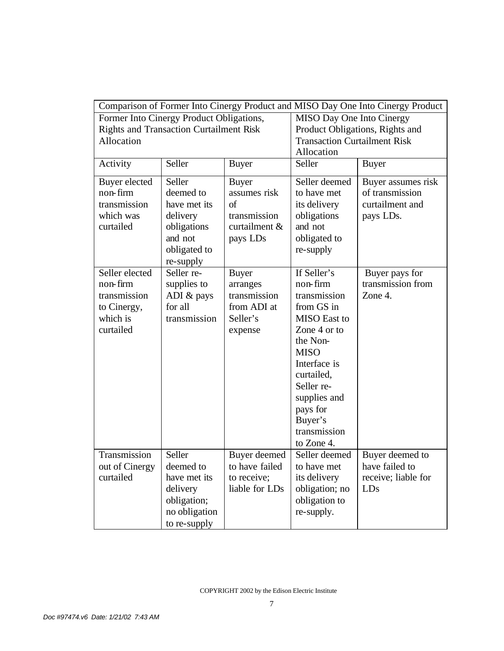| Comparison of Former Into Cinergy Product and MISO Day One Into Cinergy Product                          |                                                                                                        |                                                                                         |                                                                                                                                                                                                                                          |                                                                       |
|----------------------------------------------------------------------------------------------------------|--------------------------------------------------------------------------------------------------------|-----------------------------------------------------------------------------------------|------------------------------------------------------------------------------------------------------------------------------------------------------------------------------------------------------------------------------------------|-----------------------------------------------------------------------|
| Former Into Cinergy Product Obligations,<br><b>Rights and Transaction Curtailment Risk</b><br>Allocation |                                                                                                        |                                                                                         | MISO Day One Into Cinergy<br>Product Obligations, Rights and<br><b>Transaction Curtailment Risk</b><br>Allocation                                                                                                                        |                                                                       |
| Activity                                                                                                 | Seller                                                                                                 | <b>Buyer</b>                                                                            | Seller                                                                                                                                                                                                                                   | <b>Buyer</b>                                                          |
| Buyer elected<br>non-firm<br>transmission<br>which was<br>curtailed                                      | Seller<br>deemed to<br>have met its<br>delivery<br>obligations<br>and not<br>obligated to<br>re-supply | <b>Buyer</b><br>assumes risk<br>$\sigma$ f<br>transmission<br>curtailment &<br>pays LDs | Seller deemed<br>to have met<br>its delivery<br>obligations<br>and not<br>obligated to<br>re-supply                                                                                                                                      | Buyer assumes risk<br>of transmission<br>curtailment and<br>pays LDs. |
| Seller elected<br>non-firm<br>transmission<br>to Cinergy,<br>which is<br>curtailed                       | Seller re-<br>supplies to<br>ADI & pays<br>for all<br>transmission                                     | <b>Buyer</b><br>arranges<br>transmission<br>from ADI at<br>Seller's<br>expense          | If Seller's<br>non-firm<br>transmission<br>from GS in<br><b>MISO</b> East to<br>Zone 4 or to<br>the Non-<br><b>MISO</b><br>Interface is<br>curtailed,<br>Seller re-<br>supplies and<br>pays for<br>Buyer's<br>transmission<br>to Zone 4. | Buyer pays for<br>transmission from<br>Zone 4.                        |
| Transmission<br>out of Cinergy<br>curtailed                                                              | Seller<br>deemed to<br>have met its<br>delivery<br>obligation;<br>no obligation<br>to re-supply        | Buyer deemed<br>to have failed<br>to receive;<br>liable for LDs                         | Seller deemed<br>to have met<br>its delivery<br>obligation; no<br>obligation to<br>re-supply.                                                                                                                                            | Buyer deemed to<br>have failed to<br>receive; liable for<br>LDs       |